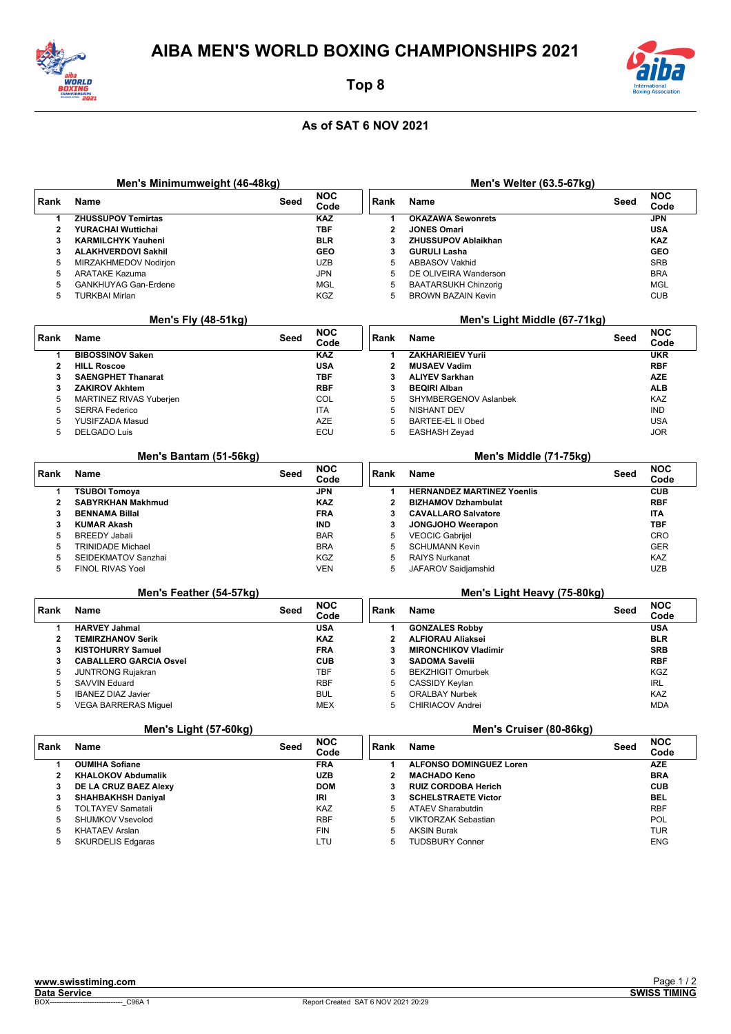



Top 8

## As of SAT 6 NOV 2021

|                                                        | Men's Minimumweight (46-48kg)  |      |                        |                | Men's Welter (63.5-67kg)          |      |                    |  |
|--------------------------------------------------------|--------------------------------|------|------------------------|----------------|-----------------------------------|------|--------------------|--|
| Rank                                                   | <b>Name</b>                    | Seed | <b>NOC</b><br>Code     | Rank           | Name                              | Seed | <b>NOC</b><br>Code |  |
| $\mathbf{1}$                                           | <b>ZHUSSUPOV Temirtas</b>      |      | <b>KAZ</b>             | 1              | <b>OKAZAWA Sewonrets</b>          |      | <b>JPN</b>         |  |
| $\mathbf{2}$                                           | YURACHAI Wuttichai             |      | <b>TBF</b>             | $\mathbf{2}$   | <b>JONES Omari</b>                |      | <b>USA</b>         |  |
| 3                                                      | <b>KARMILCHYK Yauheni</b>      |      | <b>BLR</b>             | 3              | <b>ZHUSSUPOV Ablaikhan</b>        |      | <b>KAZ</b>         |  |
| 3                                                      | <b>ALAKHVERDOVI Sakhil</b>     |      | GEO                    | 3              | <b>GURULI Lasha</b>               |      | <b>GEO</b>         |  |
| 5                                                      | MIRZAKHMEDOV Nodirjon          |      | <b>UZB</b>             | 5              | ABBASOV Vakhid                    |      | <b>SRB</b>         |  |
| 5                                                      | <b>ARATAKE Kazuma</b>          |      | <b>JPN</b>             | 5              | DE OLIVEIRA Wanderson             |      | <b>BRA</b>         |  |
| 5                                                      | <b>GANKHUYAG Gan-Erdene</b>    |      | <b>MGL</b>             | 5              | <b>BAATARSUKH Chinzorig</b>       |      | <b>MGL</b>         |  |
| 5                                                      | <b>TURKBAI Mirlan</b>          |      | KGZ                    | 5              | <b>BROWN BAZAIN Kevin</b>         |      | <b>CUB</b>         |  |
|                                                        | <b>Men's Fly (48-51kg)</b>     |      |                        |                | Men's Light Middle (67-71kg)      |      |                    |  |
| Rank                                                   | Name                           | Seed | <b>NOC</b><br>Code     | Rank           | Name                              | Seed | <b>NOC</b><br>Code |  |
| 1                                                      | <b>BIBOSSINOV Saken</b>        |      | <b>KAZ</b>             | 1              | <b>ZAKHARIEIEV Yurii</b>          |      | <b>UKR</b>         |  |
| $\mathbf{2}$                                           | <b>HILL Roscoe</b>             |      | <b>USA</b>             | $\mathbf{2}$   | <b>MUSAEV Vadim</b>               |      | <b>RBF</b>         |  |
| 3                                                      | <b>SAENGPHET Thanarat</b>      |      | TBF                    | 3              | <b>ALIYEV Sarkhan</b>             |      | <b>AZE</b>         |  |
| 3                                                      | <b>ZAKIROV Akhtem</b>          |      | <b>RBF</b>             | 3              | <b>BEQIRI Alban</b>               |      | ALB                |  |
| 5                                                      | <b>MARTINEZ RIVAS Yuberjen</b> |      | COL                    | 5              | SHYMBERGENOV Aslanbek             |      | KAZ                |  |
| 5                                                      | <b>SERRA Federico</b>          |      | <b>ITA</b>             | 5              | <b>NISHANT DEV</b>                |      | <b>IND</b>         |  |
| 5                                                      | YUSIFZADA Masud                |      | <b>AZE</b>             | 5              | <b>BARTEE-EL II Obed</b>          |      | <b>USA</b>         |  |
| 5                                                      | <b>DELGADO Luis</b>            |      | ECU                    | 5              | EASHASH Zeyad                     |      | <b>JOR</b>         |  |
|                                                        | Men's Bantam (51-56kg)         |      | Men's Middle (71-75kg) |                |                                   |      |                    |  |
| Rank                                                   | <b>Name</b>                    | Seed | <b>NOC</b><br>Code     | Rank           | Name                              | Seed | <b>NOC</b><br>Code |  |
| 1                                                      | <b>TSUBOI Tomoya</b>           |      | <b>JPN</b>             | 1              | <b>HERNANDEZ MARTINEZ Yoenlis</b> |      | <b>CUB</b>         |  |
| $\mathbf{2}$                                           | <b>SABYRKHAN Makhmud</b>       |      | <b>KAZ</b>             | $\mathbf{2}$   | <b>BIZHAMOV Dzhambulat</b>        |      | <b>RBF</b>         |  |
| 3                                                      | <b>BENNAMA Billal</b>          |      | <b>FRA</b>             | 3              | <b>CAVALLARO Salvatore</b>        |      | ITA                |  |
| 3                                                      | <b>KUMAR Akash</b>             |      | <b>IND</b>             | 3              | JONGJOHO Weerapon                 |      | <b>TBF</b>         |  |
| 5                                                      | <b>BREEDY Jabali</b>           |      | <b>BAR</b>             | 5              | <b>VEOCIC Gabrijel</b>            |      | CRO                |  |
| 5                                                      | <b>TRINIDADE Michael</b>       |      | <b>BRA</b>             | 5              | <b>SCHUMANN Kevin</b>             |      | <b>GER</b>         |  |
| 5                                                      | SEIDEKMATOV Sanzhai            |      | <b>KGZ</b>             | 5              | <b>RAIYS Nurkanat</b>             |      | KAZ                |  |
| 5                                                      | <b>FINOL RIVAS Yoel</b>        |      | <b>VEN</b>             | 5              | JAFAROV Saidjamshid               |      | <b>UZB</b>         |  |
| Men's Feather (54-57kg)<br>Men's Light Heavy (75-80kg) |                                |      |                        |                |                                   |      |                    |  |
| Rank                                                   | <b>Name</b>                    | Seed | <b>NOC</b><br>Code     | Rank           | Name                              | Seed | <b>NOC</b><br>Code |  |
| 1                                                      | <b>HARVEY Jahmal</b>           |      | <b>USA</b>             | 1              | <b>GONZALES Robby</b>             |      | <b>USA</b>         |  |
| $\overline{2}$                                         | <b>TEMIRZHANOV Serik</b>       |      | <b>KAZ</b>             | $\overline{2}$ | <b>ALFIORAU Aliaksei</b>          |      | <b>BLR</b>         |  |
| 3                                                      | <b>KISTOHURRY Samuel</b>       |      | <b>FRA</b>             | 3              | <b>MIRONCHIKOV Vladimir</b>       |      | <b>SRB</b>         |  |
| 3                                                      | <b>CABALLERO GARCIA Osvel</b>  |      | <b>CUB</b>             | 3              | <b>SADOMA Savelii</b>             |      | <b>RBF</b>         |  |
| 5                                                      | <b>JUNTRONG Rujakran</b>       |      | <b>TBF</b>             | 5              | <b>BEKZHIGIT Omurbek</b>          |      | KGZ                |  |
| 5                                                      | <b>SAVVIN Eduard</b>           |      | <b>RBF</b>             | 5              | CASSIDY Keylan                    |      | IRL                |  |
| 5                                                      | <b>IBANEZ DIAZ Javier</b>      |      | <b>BUL</b>             | 5              | <b>ORALBAY Nurbek</b>             |      | KAZ                |  |
| 5                                                      | <b>VEGA BARRERAS Miguel</b>    |      | <b>MEX</b>             | 5              | CHIRIACOV Andrei                  |      | <b>MDA</b>         |  |
| Men's Light (57-60kg)<br>Men's Cruiser (80-86kg)       |                                |      |                        |                |                                   |      |                    |  |
| Rank                                                   | <b>Name</b>                    | Seed | <b>NOC</b><br>Code     | Rank           | Name                              | Seed | <b>NOC</b><br>Code |  |
| 1                                                      | <b>OUMIHA Sofiane</b>          |      | <b>FRA</b>             | 1              | <b>ALFONSO DOMINGUEZ Loren</b>    |      | AZE                |  |
| 2                                                      | <b>KHALOKOV Abdumalik</b>      |      | UZB                    | 2              | <b>MACHADO Keno</b>               |      | <b>BRA</b>         |  |
| 3                                                      | DE LA CRUZ BAEZ Alexy          |      | <b>DOM</b>             | 3              | <b>RUIZ CORDOBA Herich</b>        |      | <b>CUB</b>         |  |
| 3                                                      | <b>SHAHBAKHSH Daniyal</b>      |      | IRI                    | 3              | <b>SCHELSTRAETE Victor</b>        |      | BEL                |  |
| 5                                                      | <b>TOLTAYEV Samatali</b>       |      | KAZ                    | 5              | <b>ATAEV Sharabutdin</b>          |      | RBF                |  |
| 5                                                      | SHUMKOV Vsevolod               |      | <b>RBF</b>             | 5              | <b>VIKTORZAK Sebastian</b>        |      | <b>POL</b>         |  |

 $\overline{5}$ 

 $\overline{5}$ 

**KHATAEV Arslan** 

SKURDELIS Edgaras

 $\overline{5}$ 

 $\overline{5}$ 

**AKSIN Burak** 

**TUDSBURY Conner** 

 $FIN$ 

LTU

**TUR** 

ENG